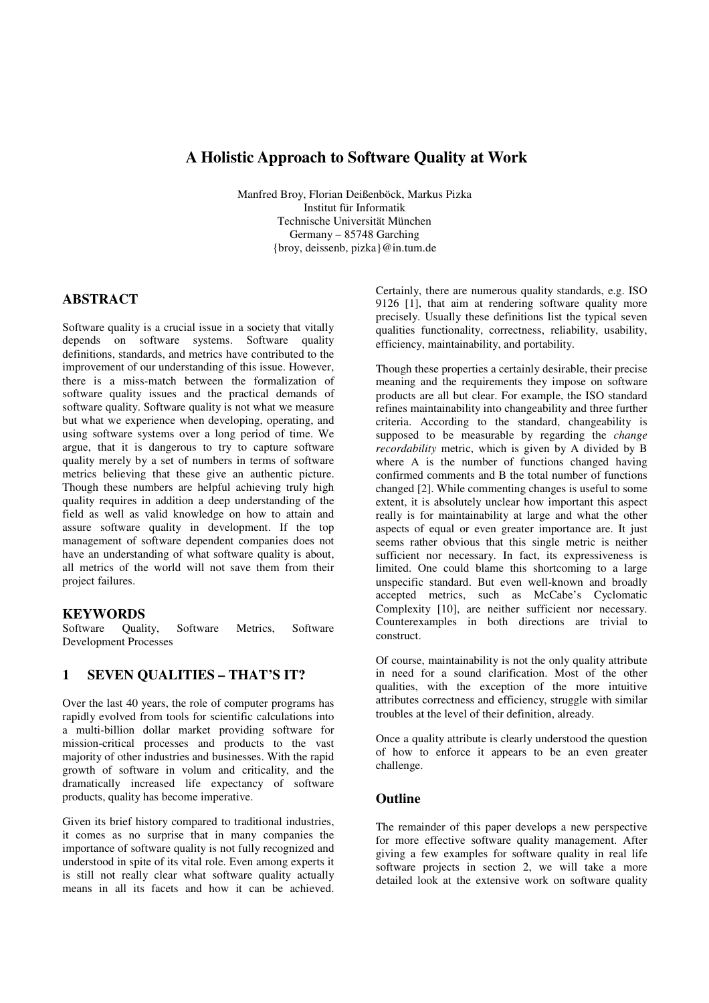# **A Holistic Approach to Software Quality at Work**

Manfred Broy, Florian Deißenböck, Markus Pizka Institut für Informatik Technische Universität München Germany – 85748 Garching {broy, deissenb, pizka}@in.tum.de

# **ABSTRACT**

Software quality is a crucial issue in a society that vitally depends on software systems. Software quality definitions, standards, and metrics have contributed to the improvement of our understanding of this issue. However, there is a miss-match between the formalization of software quality issues and the practical demands of software quality. Software quality is not what we measure but what we experience when developing, operating, and using software systems over a long period of time. We argue, that it is dangerous to try to capture software quality merely by a set of numbers in terms of software metrics believing that these give an authentic picture. Though these numbers are helpful achieving truly high quality requires in addition a deep understanding of the field as well as valid knowledge on how to attain and assure software quality in development. If the top management of software dependent companies does not have an understanding of what software quality is about, all metrics of the world will not save them from their project failures.

#### **KEYWORDS**

Software Quality, Software Metrics, Software Development Processes

### **1 SEVEN QUALITIES – THAT'S IT?**

Over the last 40 years, the role of computer programs has rapidly evolved from tools for scientific calculations into a multi-billion dollar market providing software for mission-critical processes and products to the vast majority of other industries and businesses. With the rapid growth of software in volum and criticality, and the dramatically increased life expectancy of software products, quality has become imperative.

Given its brief history compared to traditional industries, it comes as no surprise that in many companies the importance of software quality is not fully recognized and understood in spite of its vital role. Even among experts it is still not really clear what software quality actually means in all its facets and how it can be achieved.

Certainly, there are numerous quality standards, e.g. ISO 9126 [1], that aim at rendering software quality more precisely. Usually these definitions list the typical seven qualities functionality, correctness, reliability, usability, efficiency, maintainability, and portability.

Though these properties a certainly desirable, their precise meaning and the requirements they impose on software products are all but clear. For example, the ISO standard refines maintainability into changeability and three further criteria. According to the standard, changeability is supposed to be measurable by regarding the *change recordability* metric, which is given by A divided by B where A is the number of functions changed having confirmed comments and B the total number of functions changed [2]. While commenting changes is useful to some extent, it is absolutely unclear how important this aspect really is for maintainability at large and what the other aspects of equal or even greater importance are. It just seems rather obvious that this single metric is neither sufficient nor necessary. In fact, its expressiveness is limited. One could blame this shortcoming to a large unspecific standard. But even well-known and broadly accepted metrics, such as McCabe's Cyclomatic Complexity [10], are neither sufficient nor necessary. Counterexamples in both directions are trivial to construct.

Of course, maintainability is not the only quality attribute in need for a sound clarification. Most of the other qualities, with the exception of the more intuitive attributes correctness and efficiency, struggle with similar troubles at the level of their definition, already.

Once a quality attribute is clearly understood the question of how to enforce it appears to be an even greater challenge.

### **Outline**

The remainder of this paper develops a new perspective for more effective software quality management. After giving a few examples for software quality in real life software projects in section 2, we will take a more detailed look at the extensive work on software quality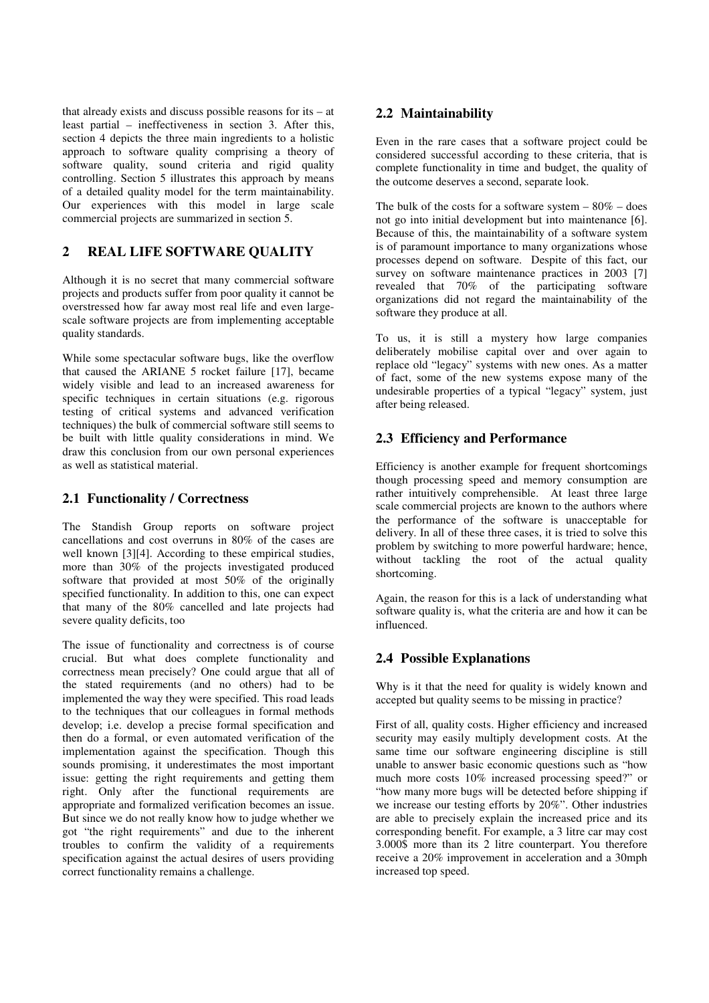that already exists and discuss possible reasons for its – at least partial – ineffectiveness in section 3. After this, section 4 depicts the three main ingredients to a holistic approach to software quality comprising a theory of software quality, sound criteria and rigid quality controlling. Section 5 illustrates this approach by means of a detailed quality model for the term maintainability. Our experiences with this model in large scale commercial projects are summarized in section 5.

# **2 REAL LIFE SOFTWARE QUALITY**

Although it is no secret that many commercial software projects and products suffer from poor quality it cannot be overstressed how far away most real life and even largescale software projects are from implementing acceptable quality standards.

While some spectacular software bugs, like the overflow that caused the ARIANE 5 rocket failure [17], became widely visible and lead to an increased awareness for specific techniques in certain situations (e.g. rigorous testing of critical systems and advanced verification techniques) the bulk of commercial software still seems to be built with little quality considerations in mind. We draw this conclusion from our own personal experiences as well as statistical material.

### **2.1 Functionality / Correctness**

The Standish Group reports on software project cancellations and cost overruns in 80% of the cases are well known [3][4]. According to these empirical studies, more than 30% of the projects investigated produced software that provided at most 50% of the originally specified functionality. In addition to this, one can expect that many of the 80% cancelled and late projects had severe quality deficits, too

The issue of functionality and correctness is of course crucial. But what does complete functionality and correctness mean precisely? One could argue that all of the stated requirements (and no others) had to be implemented the way they were specified. This road leads to the techniques that our colleagues in formal methods develop; i.e. develop a precise formal specification and then do a formal, or even automated verification of the implementation against the specification. Though this sounds promising, it underestimates the most important issue: getting the right requirements and getting them right. Only after the functional requirements are appropriate and formalized verification becomes an issue. But since we do not really know how to judge whether we got "the right requirements" and due to the inherent troubles to confirm the validity of a requirements specification against the actual desires of users providing correct functionality remains a challenge.

# **2.2 Maintainability**

Even in the rare cases that a software project could be considered successful according to these criteria, that is complete functionality in time and budget, the quality of the outcome deserves a second, separate look.

The bulk of the costs for a software system  $-80\%$  – does not go into initial development but into maintenance [6]. Because of this, the maintainability of a software system is of paramount importance to many organizations whose processes depend on software. Despite of this fact, our survey on software maintenance practices in 2003 [7] revealed that 70% of the participating software organizations did not regard the maintainability of the software they produce at all.

To us, it is still a mystery how large companies deliberately mobilise capital over and over again to replace old "legacy" systems with new ones. As a matter of fact, some of the new systems expose many of the undesirable properties of a typical "legacy" system, just after being released.

# **2.3 Efficiency and Performance**

Efficiency is another example for frequent shortcomings though processing speed and memory consumption are rather intuitively comprehensible. At least three large scale commercial projects are known to the authors where the performance of the software is unacceptable for delivery. In all of these three cases, it is tried to solve this problem by switching to more powerful hardware; hence, without tackling the root of the actual quality shortcoming.

Again, the reason for this is a lack of understanding what software quality is, what the criteria are and how it can be influenced.

# **2.4 Possible Explanations**

Why is it that the need for quality is widely known and accepted but quality seems to be missing in practice?

First of all, quality costs. Higher efficiency and increased security may easily multiply development costs. At the same time our software engineering discipline is still unable to answer basic economic questions such as "how much more costs 10% increased processing speed?" or "how many more bugs will be detected before shipping if we increase our testing efforts by 20%". Other industries are able to precisely explain the increased price and its corresponding benefit. For example, a 3 litre car may cost 3.000\$ more than its 2 litre counterpart. You therefore receive a 20% improvement in acceleration and a 30mph increased top speed.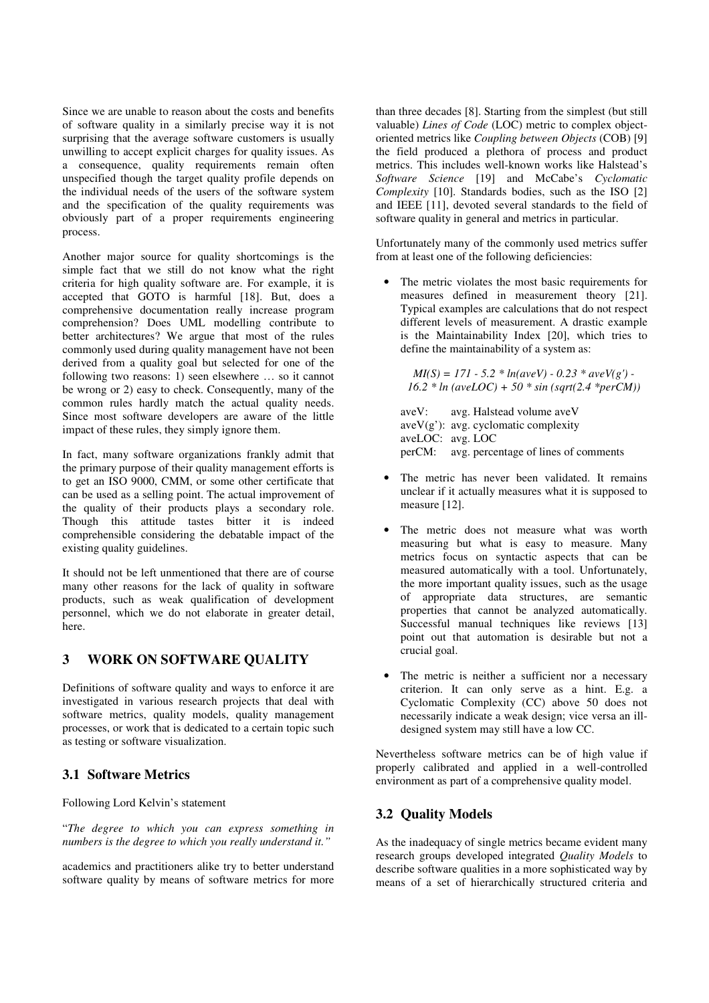Since we are unable to reason about the costs and benefits of software quality in a similarly precise way it is not surprising that the average software customers is usually unwilling to accept explicit charges for quality issues. As a consequence, quality requirements remain often unspecified though the target quality profile depends on the individual needs of the users of the software system and the specification of the quality requirements was obviously part of a proper requirements engineering process.

Another major source for quality shortcomings is the simple fact that we still do not know what the right criteria for high quality software are. For example, it is accepted that GOTO is harmful [18]. But, does a comprehensive documentation really increase program comprehension? Does UML modelling contribute to better architectures? We argue that most of the rules commonly used during quality management have not been derived from a quality goal but selected for one of the following two reasons: 1) seen elsewhere … so it cannot be wrong or 2) easy to check. Consequently, many of the common rules hardly match the actual quality needs. Since most software developers are aware of the little impact of these rules, they simply ignore them.

In fact, many software organizations frankly admit that the primary purpose of their quality management efforts is to get an ISO 9000, CMM, or some other certificate that can be used as a selling point. The actual improvement of the quality of their products plays a secondary role. Though this attitude tastes bitter it is indeed comprehensible considering the debatable impact of the existing quality guidelines.

It should not be left unmentioned that there are of course many other reasons for the lack of quality in software products, such as weak qualification of development personnel, which we do not elaborate in greater detail, here.

# **3 WORK ON SOFTWARE QUALITY**

Definitions of software quality and ways to enforce it are investigated in various research projects that deal with software metrics, quality models, quality management processes, or work that is dedicated to a certain topic such as testing or software visualization.

#### **3.1 Software Metrics**

Following Lord Kelvin's statement

"*The degree to which you can express something in numbers is the degree to which you really understand it."*

academics and practitioners alike try to better understand software quality by means of software metrics for more than three decades [8]. Starting from the simplest (but still valuable) *Lines of Code* (LOC) metric to complex objectoriented metrics like *Coupling between Objects* (COB) [9] the field produced a plethora of process and product metrics. This includes well-known works like Halstead's *Software Science* [19] and McCabe's *Cyclomatic Complexity* [10]. Standards bodies, such as the ISO [2] and IEEE [11], devoted several standards to the field of software quality in general and metrics in particular.

Unfortunately many of the commonly used metrics suffer from at least one of the following deficiencies:

• The metric violates the most basic requirements for measures defined in measurement theory [21]. Typical examples are calculations that do not respect different levels of measurement. A drastic example is the Maintainability Index [20], which tries to define the maintainability of a system as:

 $MI(S) = 171 - 5.2 * ln(aveV) - 0.23 * aveV(g') - 0.25 * 0.25 * 0.25 * 0.25 * 0.25 * 0.25 * 0.25 * 0.25 * 0.25 * 0.25 * 0.25 * 0.25 * 0.25 * 0.25 * 0.25 * 0.25 * 0.25 * 0.25 * 0.25 * 0.25 * 0.25 * 0.25 * 0.25 * 0.25 * 0.25 * 0.25 * 0.25 * 0.25 * 0.25 * 0.25 * 0.25 * 0.$ *16.2 \* ln (aveLOC) + 50 \* sin (sqrt(2.4 \*perCM))* 

aveV: avg. Halstead volume aveV ave $V(g')$ : avg. cyclomatic complexity aveLOC: avg. LOC perCM: avg. percentage of lines of comments

- The metric has never been validated. It remains unclear if it actually measures what it is supposed to measure [12].
- The metric does not measure what was worth measuring but what is easy to measure. Many metrics focus on syntactic aspects that can be measured automatically with a tool. Unfortunately, the more important quality issues, such as the usage of appropriate data structures, are semantic properties that cannot be analyzed automatically. Successful manual techniques like reviews [13] point out that automation is desirable but not a crucial goal.
- The metric is neither a sufficient nor a necessary criterion. It can only serve as a hint. E.g. a Cyclomatic Complexity (CC) above 50 does not necessarily indicate a weak design; vice versa an illdesigned system may still have a low CC.

Nevertheless software metrics can be of high value if properly calibrated and applied in a well-controlled environment as part of a comprehensive quality model.

### **3.2 Quality Models**

As the inadequacy of single metrics became evident many research groups developed integrated *Quality Models* to describe software qualities in a more sophisticated way by means of a set of hierarchically structured criteria and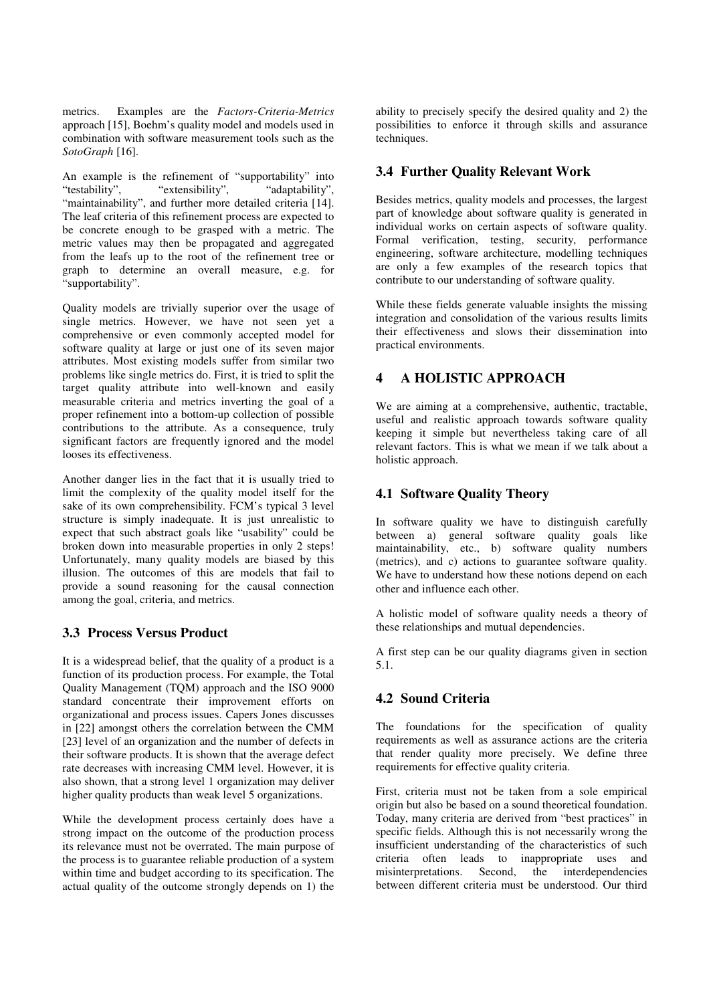metrics. Examples are the *Factors-Criteria-Metrics* approach [15], Boehm's quality model and models used in combination with software measurement tools such as the *SotoGraph* [16].

An example is the refinement of "supportability" into "testability", "extensibility", "adaptability", "maintainability", and further more detailed criteria [14]. The leaf criteria of this refinement process are expected to be concrete enough to be grasped with a metric. The metric values may then be propagated and aggregated from the leafs up to the root of the refinement tree or graph to determine an overall measure, e.g. for "supportability".

Quality models are trivially superior over the usage of single metrics. However, we have not seen yet a comprehensive or even commonly accepted model for software quality at large or just one of its seven major attributes. Most existing models suffer from similar two problems like single metrics do. First, it is tried to split the target quality attribute into well-known and easily measurable criteria and metrics inverting the goal of a proper refinement into a bottom-up collection of possible contributions to the attribute. As a consequence, truly significant factors are frequently ignored and the model looses its effectiveness.

Another danger lies in the fact that it is usually tried to limit the complexity of the quality model itself for the sake of its own comprehensibility. FCM's typical 3 level structure is simply inadequate. It is just unrealistic to expect that such abstract goals like "usability" could be broken down into measurable properties in only 2 steps! Unfortunately, many quality models are biased by this illusion. The outcomes of this are models that fail to provide a sound reasoning for the causal connection among the goal, criteria, and metrics.

### **3.3 Process Versus Product**

It is a widespread belief, that the quality of a product is a function of its production process. For example, the Total Quality Management (TQM) approach and the ISO 9000 standard concentrate their improvement efforts on organizational and process issues. Capers Jones discusses in [22] amongst others the correlation between the CMM [23] level of an organization and the number of defects in their software products. It is shown that the average defect rate decreases with increasing CMM level. However, it is also shown, that a strong level 1 organization may deliver higher quality products than weak level 5 organizations.

While the development process certainly does have a strong impact on the outcome of the production process its relevance must not be overrated. The main purpose of the process is to guarantee reliable production of a system within time and budget according to its specification. The actual quality of the outcome strongly depends on 1) the

ability to precisely specify the desired quality and 2) the possibilities to enforce it through skills and assurance techniques.

# **3.4 Further Quality Relevant Work**

Besides metrics, quality models and processes, the largest part of knowledge about software quality is generated in individual works on certain aspects of software quality. Formal verification, testing, security, performance engineering, software architecture, modelling techniques are only a few examples of the research topics that contribute to our understanding of software quality.

While these fields generate valuable insights the missing integration and consolidation of the various results limits their effectiveness and slows their dissemination into practical environments.

# **4 A HOLISTIC APPROACH**

We are aiming at a comprehensive, authentic, tractable, useful and realistic approach towards software quality keeping it simple but nevertheless taking care of all relevant factors. This is what we mean if we talk about a holistic approach.

### **4.1 Software Quality Theory**

In software quality we have to distinguish carefully between a) general software quality goals like maintainability, etc., b) software quality numbers (metrics), and c) actions to guarantee software quality. We have to understand how these notions depend on each other and influence each other.

A holistic model of software quality needs a theory of these relationships and mutual dependencies.

A first step can be our quality diagrams given in section 5.1.

### **4.2 Sound Criteria**

The foundations for the specification of quality requirements as well as assurance actions are the criteria that render quality more precisely. We define three requirements for effective quality criteria.

First, criteria must not be taken from a sole empirical origin but also be based on a sound theoretical foundation. Today, many criteria are derived from "best practices" in specific fields. Although this is not necessarily wrong the insufficient understanding of the characteristics of such criteria often leads to inappropriate uses and misinterpretations. Second, the interdependencies between different criteria must be understood. Our third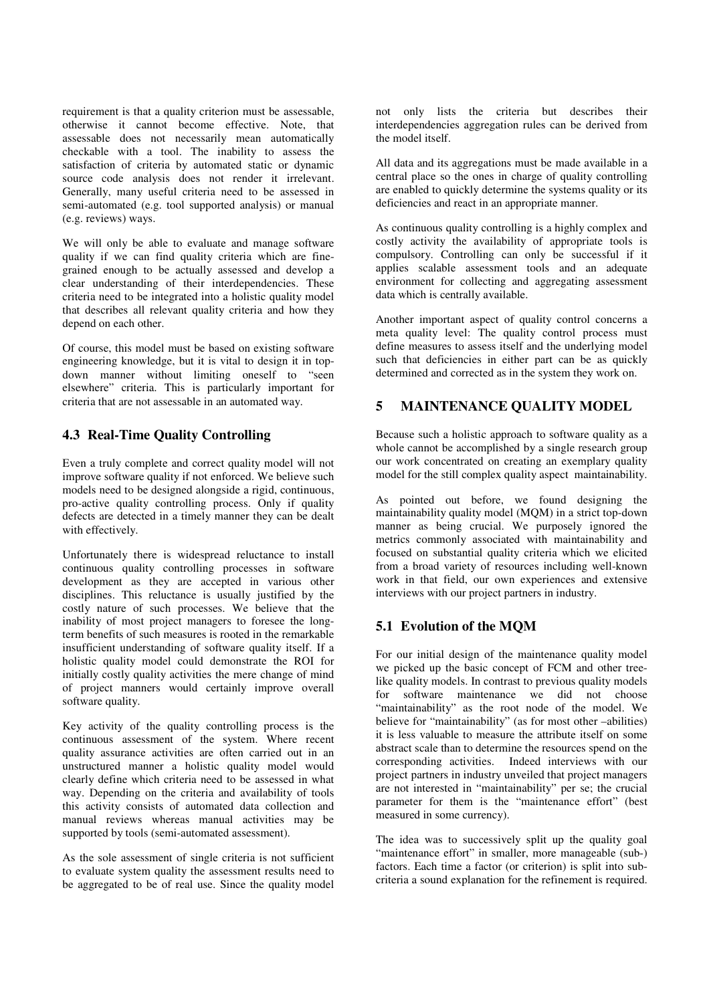requirement is that a quality criterion must be assessable, otherwise it cannot become effective. Note, that assessable does not necessarily mean automatically checkable with a tool. The inability to assess the satisfaction of criteria by automated static or dynamic source code analysis does not render it irrelevant. Generally, many useful criteria need to be assessed in semi-automated (e.g. tool supported analysis) or manual (e.g. reviews) ways.

We will only be able to evaluate and manage software quality if we can find quality criteria which are finegrained enough to be actually assessed and develop a clear understanding of their interdependencies. These criteria need to be integrated into a holistic quality model that describes all relevant quality criteria and how they depend on each other.

Of course, this model must be based on existing software engineering knowledge, but it is vital to design it in topdown manner without limiting oneself to "seen elsewhere" criteria. This is particularly important for criteria that are not assessable in an automated way.

# **4.3 Real-Time Quality Controlling**

Even a truly complete and correct quality model will not improve software quality if not enforced. We believe such models need to be designed alongside a rigid, continuous, pro-active quality controlling process. Only if quality defects are detected in a timely manner they can be dealt with effectively.

Unfortunately there is widespread reluctance to install continuous quality controlling processes in software development as they are accepted in various other disciplines. This reluctance is usually justified by the costly nature of such processes. We believe that the inability of most project managers to foresee the longterm benefits of such measures is rooted in the remarkable insufficient understanding of software quality itself. If a holistic quality model could demonstrate the ROI for initially costly quality activities the mere change of mind of project manners would certainly improve overall software quality.

Key activity of the quality controlling process is the continuous assessment of the system. Where recent quality assurance activities are often carried out in an unstructured manner a holistic quality model would clearly define which criteria need to be assessed in what way. Depending on the criteria and availability of tools this activity consists of automated data collection and manual reviews whereas manual activities may be supported by tools (semi-automated assessment).

As the sole assessment of single criteria is not sufficient to evaluate system quality the assessment results need to be aggregated to be of real use. Since the quality model

not only lists the criteria but describes their interdependencies aggregation rules can be derived from the model itself.

All data and its aggregations must be made available in a central place so the ones in charge of quality controlling are enabled to quickly determine the systems quality or its deficiencies and react in an appropriate manner.

As continuous quality controlling is a highly complex and costly activity the availability of appropriate tools is compulsory. Controlling can only be successful if it applies scalable assessment tools and an adequate environment for collecting and aggregating assessment data which is centrally available.

Another important aspect of quality control concerns a meta quality level: The quality control process must define measures to assess itself and the underlying model such that deficiencies in either part can be as quickly determined and corrected as in the system they work on.

# **5 MAINTENANCE QUALITY MODEL**

Because such a holistic approach to software quality as a whole cannot be accomplished by a single research group our work concentrated on creating an exemplary quality model for the still complex quality aspect maintainability.

As pointed out before, we found designing the maintainability quality model (MQM) in a strict top-down manner as being crucial. We purposely ignored the metrics commonly associated with maintainability and focused on substantial quality criteria which we elicited from a broad variety of resources including well-known work in that field, our own experiences and extensive interviews with our project partners in industry.

# **5.1 Evolution of the MQM**

For our initial design of the maintenance quality model we picked up the basic concept of FCM and other treelike quality models. In contrast to previous quality models for software maintenance we did not choose "maintainability" as the root node of the model. We believe for "maintainability" (as for most other –abilities) it is less valuable to measure the attribute itself on some abstract scale than to determine the resources spend on the corresponding activities. Indeed interviews with our project partners in industry unveiled that project managers are not interested in "maintainability" per se; the crucial parameter for them is the "maintenance effort" (best measured in some currency).

The idea was to successively split up the quality goal "maintenance effort" in smaller, more manageable (sub-) factors. Each time a factor (or criterion) is split into subcriteria a sound explanation for the refinement is required.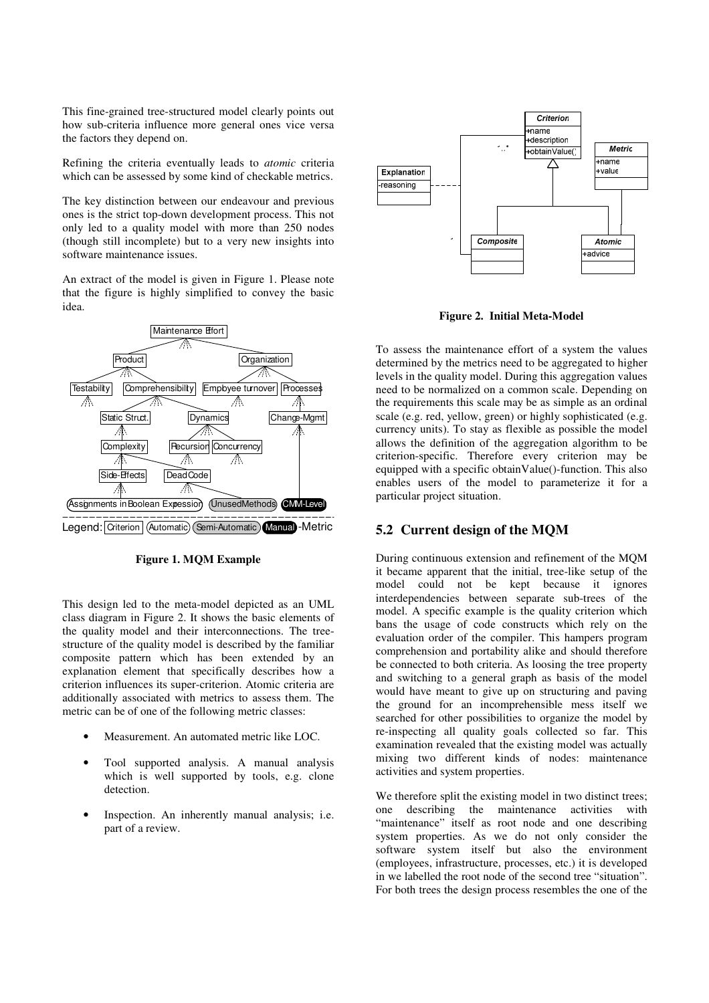This fine-grained tree-structured model clearly points out how sub-criteria influence more general ones vice versa the factors they depend on.

Refining the criteria eventually leads to *atomic* criteria which can be assessed by some kind of checkable metrics.

The key distinction between our endeavour and previous ones is the strict top-down development process. This not only led to a quality model with more than 250 nodes (though still incomplete) but to a very new insights into software maintenance issues.

An extract of the model is given in Figure 1. Please note that the figure is highly simplified to convey the basic idea.



**Figure 1. MQM Example** 

This design led to the meta-model depicted as an UML class diagram in Figure 2. It shows the basic elements of the quality model and their interconnections. The treestructure of the quality model is described by the familiar composite pattern which has been extended by an explanation element that specifically describes how a criterion influences its super-criterion. Atomic criteria are additionally associated with metrics to assess them. The metric can be of one of the following metric classes:

- Measurement. An automated metric like LOC.
- Tool supported analysis. A manual analysis which is well supported by tools, e.g. clone detection.
- Inspection. An inherently manual analysis; i.e. part of a review.



**Figure 2. Initial Meta-Model** 

To assess the maintenance effort of a system the values determined by the metrics need to be aggregated to higher levels in the quality model. During this aggregation values need to be normalized on a common scale. Depending on the requirements this scale may be as simple as an ordinal scale (e.g. red, yellow, green) or highly sophisticated (e.g. currency units). To stay as flexible as possible the model allows the definition of the aggregation algorithm to be criterion-specific. Therefore every criterion may be equipped with a specific obtainValue()-function. This also enables users of the model to parameterize it for a particular project situation.

### **5.2 Current design of the MQM**

During continuous extension and refinement of the MQM it became apparent that the initial, tree-like setup of the model could not be kept because it ignores interdependencies between separate sub-trees of the model. A specific example is the quality criterion which bans the usage of code constructs which rely on the evaluation order of the compiler. This hampers program comprehension and portability alike and should therefore be connected to both criteria. As loosing the tree property and switching to a general graph as basis of the model would have meant to give up on structuring and paving the ground for an incomprehensible mess itself we searched for other possibilities to organize the model by re-inspecting all quality goals collected so far. This examination revealed that the existing model was actually mixing two different kinds of nodes: maintenance activities and system properties.

We therefore split the existing model in two distinct trees; one describing the maintenance activities with "maintenance" itself as root node and one describing system properties. As we do not only consider the software system itself but also the environment (employees, infrastructure, processes, etc.) it is developed in we labelled the root node of the second tree "situation". For both trees the design process resembles the one of the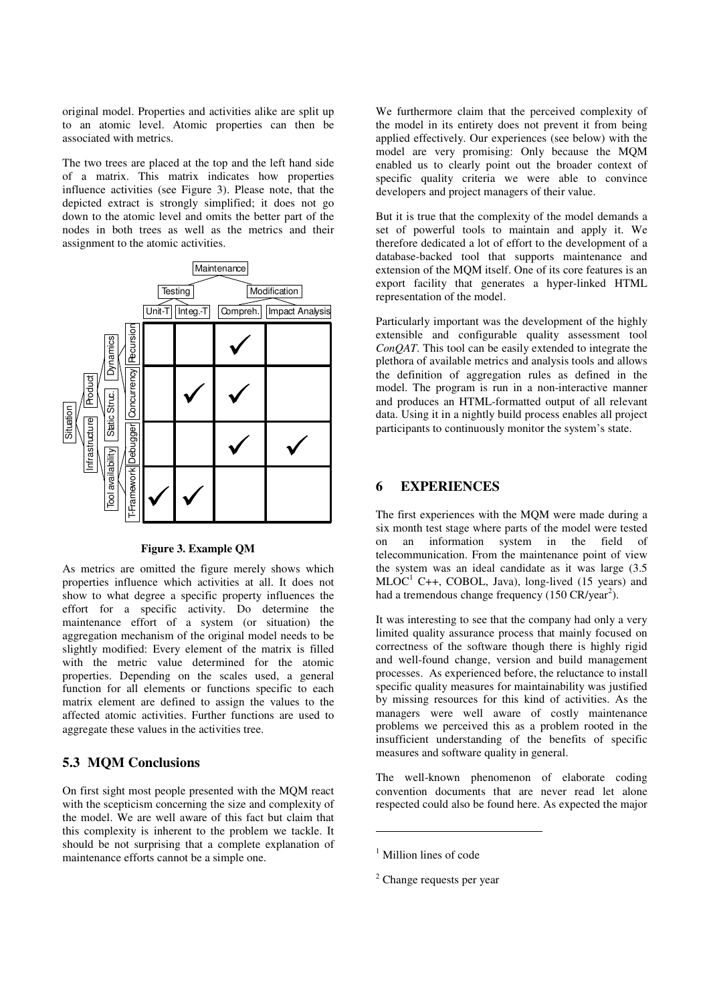original model. Properties and activities alike are split up to an atomic level. Atomic properties can then be associated with metrics.

The two trees are placed at the top and the left hand side of a matrix. This matrix indicates how properties influence activities (see Figure 3). Please note, that the depicted extract is strongly simplified; it does not go down to the atomic level and omits the better part of the nodes in both trees as well as the metrics and their assignment to the atomic activities.



**Figure 3. Example QM** 

As metrics are omitted the figure merely shows which properties influence which activities at all. It does not show to what degree a specific property influences the effort for a specific activity. Do determine the maintenance effort of a system (or situation) the aggregation mechanism of the original model needs to be slightly modified: Every element of the matrix is filled with the metric value determined for the atomic properties. Depending on the scales used, a general function for all elements or functions specific to each matrix element are defined to assign the values to the affected atomic activities. Further functions are used to aggregate these values in the activities tree.

### **5.3 MQM Conclusions**

On first sight most people presented with the MQM react with the scepticism concerning the size and complexity of the model. We are well aware of this fact but claim that this complexity is inherent to the problem we tackle. It should be not surprising that a complete explanation of maintenance efforts cannot be a simple one.

We furthermore claim that the perceived complexity of the model in its entirety does not prevent it from being applied effectively. Our experiences (see below) with the model are very promising: Only because the MQM enabled us to clearly point out the broader context of specific quality criteria we were able to convince developers and project managers of their value.

But it is true that the complexity of the model demands a set of powerful tools to maintain and apply it. We therefore dedicated a lot of effort to the development of a database-backed tool that supports maintenance and extension of the MQM itself. One of its core features is an export facility that generates a hyper-linked HTML representation of the model.

Particularly important was the development of the highly extensible and configurable quality assessment tool *ConQAT*. This tool can be easily extended to integrate the plethora of available metrics and analysis tools and allows the definition of aggregation rules as defined in the model. The program is run in a non-interactive manner and produces an HTML-formatted output of all relevant data. Using it in a nightly build process enables all project participants to continuously monitor the system's state.

#### **6 EXPERIENCES**

The first experiences with the MQM were made during a six month test stage where parts of the model were tested on an information system in the field of telecommunication. From the maintenance point of view the system was an ideal candidate as it was large (3.5  $MLOC<sup>1</sup>$  C++, COBOL, Java), long-lived (15 years) and had a tremendous change frequency  $(150 \text{ CR/year}^2)$ .

It was interesting to see that the company had only a very limited quality assurance process that mainly focused on correctness of the software though there is highly rigid and well-found change, version and build management processes. As experienced before, the reluctance to install specific quality measures for maintainability was justified by missing resources for this kind of activities. As the managers were well aware of costly maintenance problems we perceived this as a problem rooted in the insufficient understanding of the benefits of specific measures and software quality in general.

The well-known phenomenon of elaborate coding convention documents that are never read let alone respected could also be found here. As expected the major

 $\overline{a}$ 

<sup>&</sup>lt;sup>1</sup> Million lines of code

<sup>&</sup>lt;sup>2</sup> Change requests per year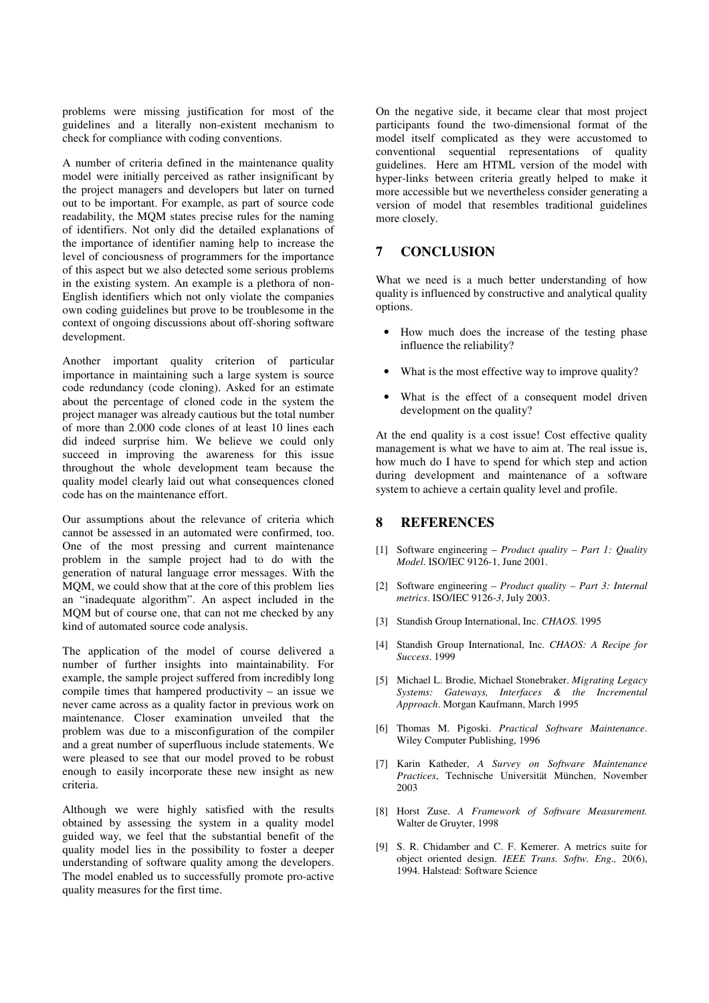problems were missing justification for most of the guidelines and a literally non-existent mechanism to check for compliance with coding conventions.

A number of criteria defined in the maintenance quality model were initially perceived as rather insignificant by the project managers and developers but later on turned out to be important. For example, as part of source code readability, the MQM states precise rules for the naming of identifiers. Not only did the detailed explanations of the importance of identifier naming help to increase the level of conciousness of programmers for the importance of this aspect but we also detected some serious problems in the existing system. An example is a plethora of non-English identifiers which not only violate the companies own coding guidelines but prove to be troublesome in the context of ongoing discussions about off-shoring software development.

Another important quality criterion of particular importance in maintaining such a large system is source code redundancy (code cloning). Asked for an estimate about the percentage of cloned code in the system the project manager was already cautious but the total number of more than 2.000 code clones of at least 10 lines each did indeed surprise him. We believe we could only succeed in improving the awareness for this issue throughout the whole development team because the quality model clearly laid out what consequences cloned code has on the maintenance effort.

Our assumptions about the relevance of criteria which cannot be assessed in an automated were confirmed, too. One of the most pressing and current maintenance problem in the sample project had to do with the generation of natural language error messages. With the MQM, we could show that at the core of this problem lies an "inadequate algorithm". An aspect included in the MQM but of course one, that can not me checked by any kind of automated source code analysis.

The application of the model of course delivered a number of further insights into maintainability. For example, the sample project suffered from incredibly long compile times that hampered productivity – an issue we never came across as a quality factor in previous work on maintenance. Closer examination unveiled that the problem was due to a misconfiguration of the compiler and a great number of superfluous include statements. We were pleased to see that our model proved to be robust enough to easily incorporate these new insight as new criteria.

Although we were highly satisfied with the results obtained by assessing the system in a quality model guided way, we feel that the substantial benefit of the quality model lies in the possibility to foster a deeper understanding of software quality among the developers. The model enabled us to successfully promote pro-active quality measures for the first time.

On the negative side, it became clear that most project participants found the two-dimensional format of the model itself complicated as they were accustomed to conventional sequential representations of quality guidelines. Here am HTML version of the model with hyper-links between criteria greatly helped to make it more accessible but we nevertheless consider generating a version of model that resembles traditional guidelines more closely.

#### **7 CONCLUSION**

What we need is a much better understanding of how quality is influenced by constructive and analytical quality options.

- How much does the increase of the testing phase influence the reliability?
- What is the most effective way to improve quality?
- What is the effect of a consequent model driven development on the quality?

At the end quality is a cost issue! Cost effective quality management is what we have to aim at. The real issue is, how much do I have to spend for which step and action during development and maintenance of a software system to achieve a certain quality level and profile.

### **8 REFERENCES**

- [1] Software engineering *Product quality Part 1: Quality Model*. ISO/IEC 9126-1, June 2001.
- [2] Software engineering *Product quality Part 3: Internal metrics*. ISO/IEC 9126*-3*, July 2003.
- [3] Standish Group International, Inc. *CHAOS.* 1995
- [4] Standish Group International, Inc. *CHAOS: A Recipe for Success*. 1999
- [5] Michael L. Brodie, Michael Stonebraker. *Migrating Legacy Systems: Gateways, Interfaces & the Incremental Approach*. Morgan Kaufmann, March 1995
- [6] Thomas M. Pigoski. *Practical Software Maintenance*. Wiley Computer Publishing, 1996
- [7] Karin Katheder, *A Survey on Software Maintenance Practices*, Technische Universität München, November 2003
- [8] Horst Zuse. *A Framework of Software Measurement.* Walter de Gruyter, 1998
- [9] S. R. Chidamber and C. F. Kemerer. A metrics suite for object oriented design. *IEEE Trans. Softw. Eng.,* 20(6), 1994. Halstead: Software Science